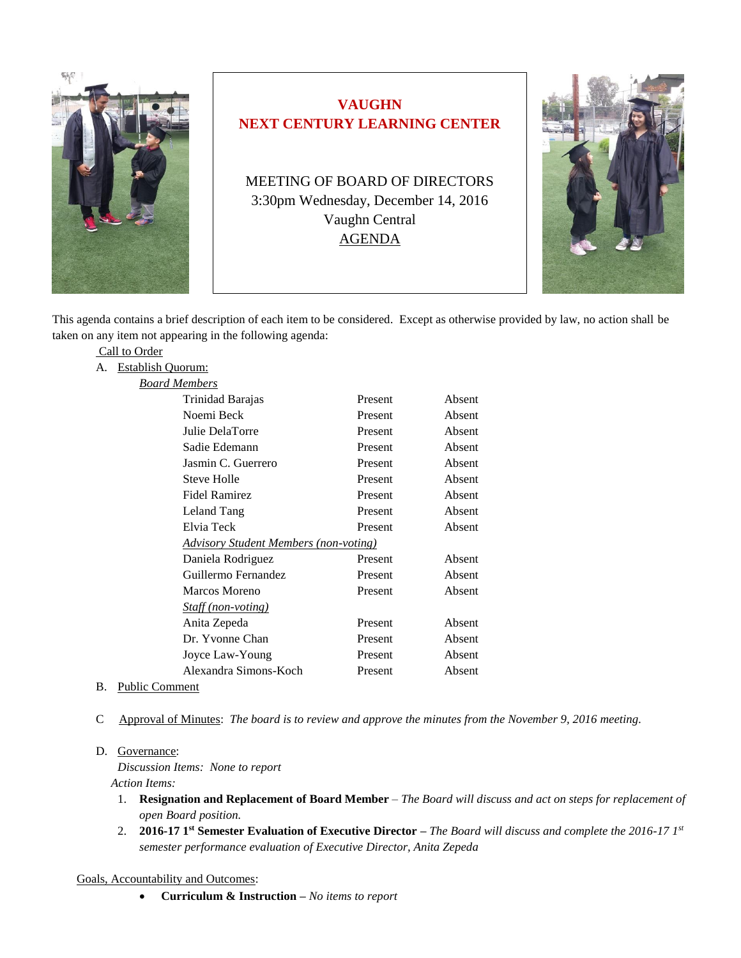

# **VAUGHN NEXT CENTURY LEARNING CENTER**

MEETING OF BOARD OF DIRECTORS 3:30pm Wednesday, December 14, 2016 Vaughn Central AGENDA



This agenda contains a brief description of each item to be considered. Except as otherwise provided by law, no action shall be taken on any item not appearing in the following agenda:

|    | Call to Order                                       |                           |         |        |
|----|-----------------------------------------------------|---------------------------|---------|--------|
| А. | <b>Establish Quorum:</b>                            |                           |         |        |
|    | <b>Board Members</b>                                |                           |         |        |
|    |                                                     | Trinidad Barajas          | Present | Absent |
|    |                                                     | Noemi Beck                | Present | Absent |
|    |                                                     | Julie DelaTorre           | Present | Absent |
|    |                                                     | Sadie Edemann             | Present | Absent |
|    |                                                     | Jasmin C. Guerrero        | Present | Absent |
|    |                                                     | <b>Steve Holle</b>        | Present | Absent |
|    |                                                     | <b>Fidel Ramirez</b>      | Present | Absent |
|    |                                                     | Leland Tang               | Present | Absent |
|    |                                                     | Elvia Teck                | Present | Absent |
|    | <u><b>Advisory Student Members (non-voting)</b></u> |                           |         |        |
|    |                                                     | Daniela Rodriguez         | Present | Absent |
|    |                                                     | Guillermo Fernandez       | Present | Absent |
|    |                                                     | Marcos Moreno             | Present | Absent |
|    |                                                     | <i>Staff (non-voting)</i> |         |        |
|    |                                                     | Anita Zepeda              | Present | Absent |
|    |                                                     | Dr. Yvonne Chan           | Present | Absent |
|    |                                                     | Joyce Law-Young           | Present | Absent |
|    |                                                     | Alexandra Simons-Koch     | Present | Absent |
|    | $\mathbf{r}$ $\mathbf{r}$                           |                           |         |        |

- B. Public Comment
- C Approval of Minutes: *The board is to review and approve the minutes from the November 9, 2016 meeting.*

#### D. Governance:

*Discussion Items: None to report Action Items:*

- 1. **Resignation and Replacement of Board Member** *The Board will discuss and act on steps for replacement of open Board position.*
- 2. **2016-17 1st Semester Evaluation of Executive Director –** *The Board will discuss and complete the 2016-17 1st semester performance evaluation of Executive Director, Anita Zepeda*

Goals, Accountability and Outcomes:

**Curriculum & Instruction –** *No items to report*